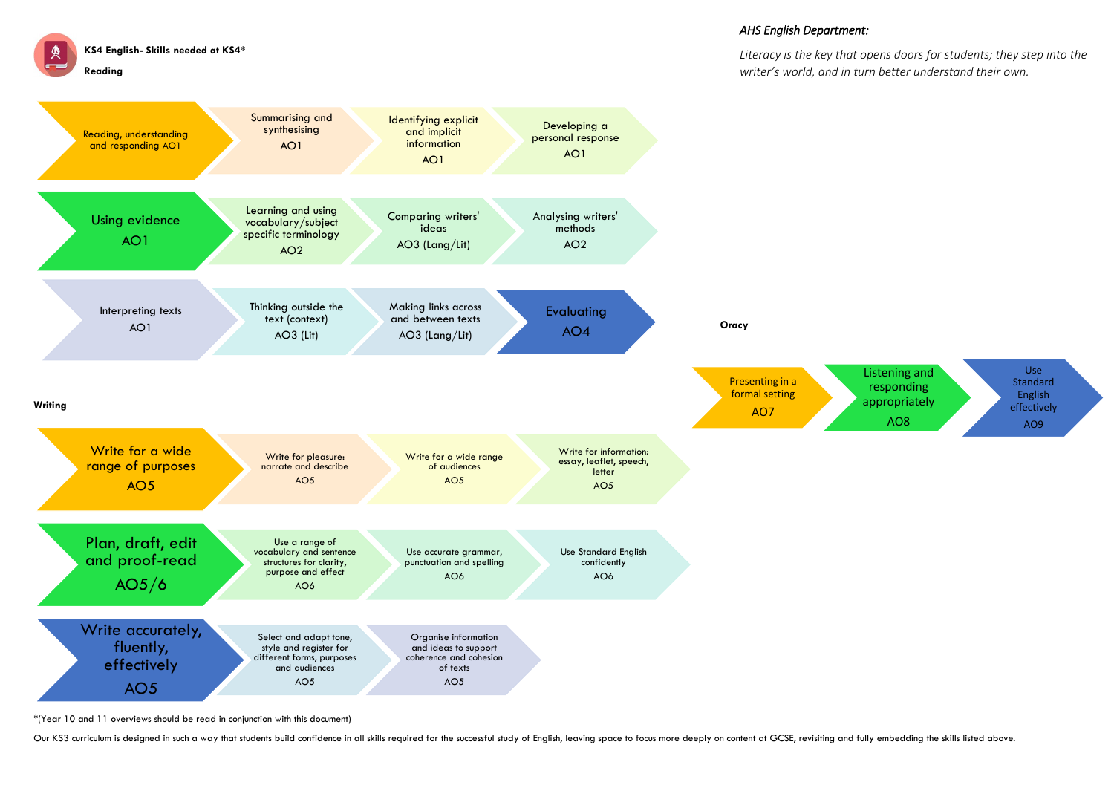**KS4 English- Skills needed at KS4\***

**Reading** 

\*(Year 10 and 11 overviews should be read in conjunction with this document)

Our KS3 curriculum is designed in such a way that students build confidence in all skills required for the successful study of English, leaving space to focus more deeply on content at GCSE, revisiting and fully embedding



## *AHS English Department:*

*Literacy is the key that opens doors for students; they step into the writer's world, and in turn better understand their own.*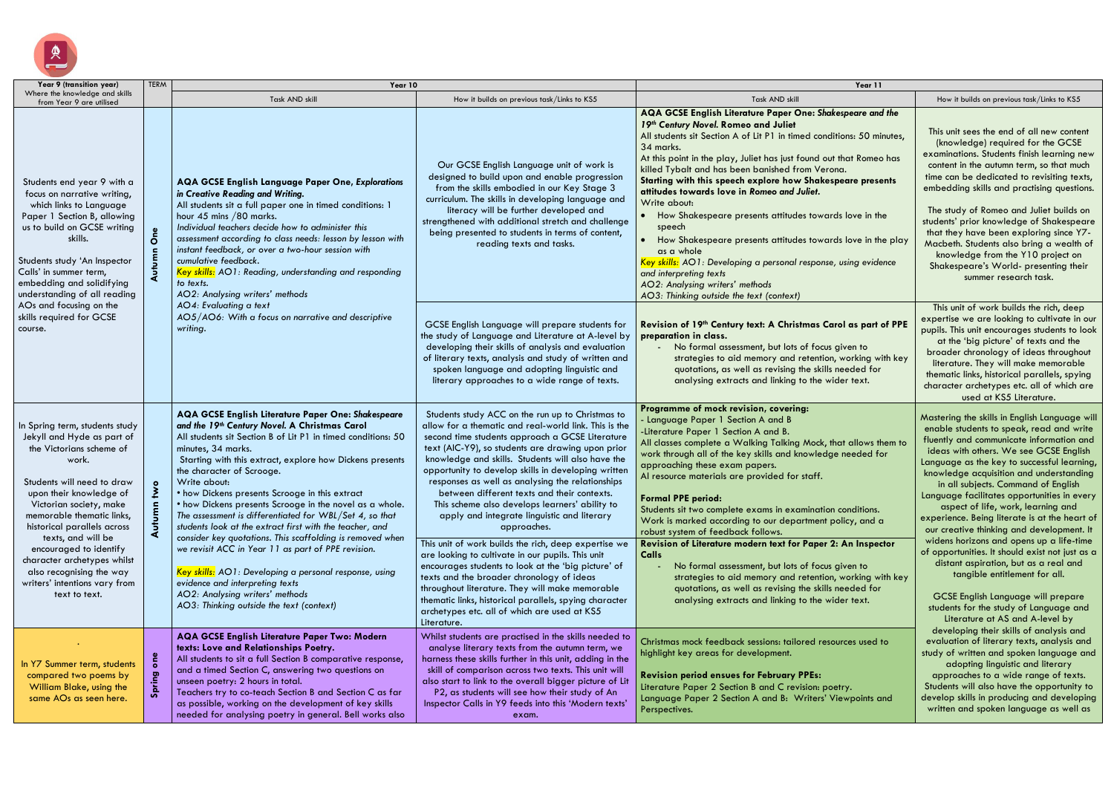

| Year 9 (transition year)                                                                                                                                                                                                                                                                                                                                                                                       | <b>TERM</b> | Year 10                                                                                                                                                                                                                                                                                                                                                                                                                                                                                                                                                                                                                                                                                                                                                                                                                               |                                                                                                                                                                                                                                                                                                                                                                                                                                                                                                                                                                                                                                                                                                                                                                                                                                                                                                                                               | Year 11                                                                                                                                                                                                                                                                                                                                                                                                                                                                                                                                                                                                                                                                                                                                                                                                                                       |                                                                                                                                                                                                                                                                                                                                                                                                                                                                                                                                                                                                                                                                                                                                                          |
|----------------------------------------------------------------------------------------------------------------------------------------------------------------------------------------------------------------------------------------------------------------------------------------------------------------------------------------------------------------------------------------------------------------|-------------|---------------------------------------------------------------------------------------------------------------------------------------------------------------------------------------------------------------------------------------------------------------------------------------------------------------------------------------------------------------------------------------------------------------------------------------------------------------------------------------------------------------------------------------------------------------------------------------------------------------------------------------------------------------------------------------------------------------------------------------------------------------------------------------------------------------------------------------|-----------------------------------------------------------------------------------------------------------------------------------------------------------------------------------------------------------------------------------------------------------------------------------------------------------------------------------------------------------------------------------------------------------------------------------------------------------------------------------------------------------------------------------------------------------------------------------------------------------------------------------------------------------------------------------------------------------------------------------------------------------------------------------------------------------------------------------------------------------------------------------------------------------------------------------------------|-----------------------------------------------------------------------------------------------------------------------------------------------------------------------------------------------------------------------------------------------------------------------------------------------------------------------------------------------------------------------------------------------------------------------------------------------------------------------------------------------------------------------------------------------------------------------------------------------------------------------------------------------------------------------------------------------------------------------------------------------------------------------------------------------------------------------------------------------|----------------------------------------------------------------------------------------------------------------------------------------------------------------------------------------------------------------------------------------------------------------------------------------------------------------------------------------------------------------------------------------------------------------------------------------------------------------------------------------------------------------------------------------------------------------------------------------------------------------------------------------------------------------------------------------------------------------------------------------------------------|
| Where the knowledge and skills<br>from Year 9 are utilised                                                                                                                                                                                                                                                                                                                                                     |             | Task AND skill                                                                                                                                                                                                                                                                                                                                                                                                                                                                                                                                                                                                                                                                                                                                                                                                                        | How it builds on previous task/Links to KS5                                                                                                                                                                                                                                                                                                                                                                                                                                                                                                                                                                                                                                                                                                                                                                                                                                                                                                   | Task AND skill                                                                                                                                                                                                                                                                                                                                                                                                                                                                                                                                                                                                                                                                                                                                                                                                                                | How it builds on previous task/Links to KS5                                                                                                                                                                                                                                                                                                                                                                                                                                                                                                                                                                                                                                                                                                              |
| Students end year 9 with a<br>focus on narrative writing,<br>which links to Language<br>Paper 1 Section B, allowing<br>us to build on GCSE writing<br>skills.<br>Students study 'An Inspector<br>Calls' in summer term,<br>embedding and solidifying<br>understanding of all reading<br>AOs and focusing on the<br>skills required for GCSE<br>course.                                                         |             | AQA GCSE English Language Paper One, Explorations<br>in Creative Reading and Writing.<br>All students sit a full paper one in timed conditions: 1<br>hour 45 mins /80 marks.<br>Individual teachers decide how to administer this<br>assessment according to class needs: lesson by lesson with<br>instant feedback, or over a two-hour session with<br>cumulative feedback.<br>Key skills: AO1: Reading, understanding and responding<br>to texts.<br>AO2: Analysing writers' methods<br>AO4: Evaluating a text<br>AO5/AO6: With a focus on narrative and descriptive<br>writing.                                                                                                                                                                                                                                                    | Our GCSE English Language unit of work is<br>designed to build upon and enable progression<br>from the skills embodied in our Key Stage 3<br>curriculum. The skills in developing language and<br>literacy will be further developed and<br>strengthened with additional stretch and challenge<br>being presented to students in terms of content,<br>reading texts and tasks.                                                                                                                                                                                                                                                                                                                                                                                                                                                                                                                                                                | AQA GCSE English Literature Paper One: Shakespeare and the<br>19th Century Novel. Romeo and Juliet<br>All students sit Section A of Lit P1 in timed conditions: 50 minutes,<br>34 marks.<br>At this point in the play, Juliet has just found out that Romeo has<br>killed Tybalt and has been banished from Verona.<br>Starting with this speech explore how Shakespeare presents<br>attitudes towards love in Romeo and Juliet.<br>Write about:<br>How Shakespeare presents attitudes towards love in the<br>speech<br>How Shakespeare presents attitudes towards love in the play<br>as a whole<br>Key skills: AO1: Developing a personal response, using evidence<br>and interpreting texts<br>AO2: Analysing writers' methods<br>AO3: Thinking outside the text (context)                                                                 | This unit sees the end of all new conte<br>(knowledge) required for the GCSE<br>examinations. Students finish learning i<br>content in the autumn term, so that mu<br>time can be dedicated to revisiting te.<br>embedding skills and practising questi<br>The study of Romeo and Juliet builds<br>students' prior knowledge of Shakespe<br>that they have been exploring since Y<br>Macbeth. Students also bring a wealth<br>knowledge from the Y10 project or<br>Shakespeare's World- presenting the<br>summer research task.                                                                                                                                                                                                                          |
|                                                                                                                                                                                                                                                                                                                                                                                                                |             |                                                                                                                                                                                                                                                                                                                                                                                                                                                                                                                                                                                                                                                                                                                                                                                                                                       | GCSE English Language will prepare students for<br>the study of Language and Literature at A-level by<br>developing their skills of analysis and evaluation<br>of literary texts, analysis and study of written and<br>spoken language and adopting linguistic and<br>literary approaches to a wide range of texts.                                                                                                                                                                                                                                                                                                                                                                                                                                                                                                                                                                                                                           | Revision of 19th Century text: A Christmas Carol as part of PPE<br>preparation in class.<br>No formal assessment, but lots of focus given to<br>strategies to aid memory and retention, working with key<br>quotations, as well as revising the skills needed for<br>analysing extracts and linking to the wider text.                                                                                                                                                                                                                                                                                                                                                                                                                                                                                                                        | This unit of work builds the rich, dee<br>expertise we are looking to cultivate in<br>pupils. This unit encourages students to<br>at the 'big picture' of texts and the<br>broader chronology of ideas through<br>literature. They will make memorabl<br>thematic links, historical parallels, spy<br>character archetypes etc. all of which<br>used at KS5 Literature.                                                                                                                                                                                                                                                                                                                                                                                  |
| In Spring term, students study<br>Jekyll and Hyde as part of<br>the Victorians scheme of<br>work.<br>Students will need to draw<br>upon their knowledge of<br>Victorian society, make<br>memorable thematic links,<br>historical parallels across<br>texts, and will be<br>encouraged to identify<br>character archetypes whilst<br>also recognising the way<br>writers' intentions vary from<br>text to text. |             | AQA GCSE English Literature Paper One: Shakespeare<br>and the 19th Century Novel. A Christmas Carol<br>All students sit Section B of Lit P1 in timed conditions: 50<br>minutes, 34 marks.<br>Starting with this extract, explore how Dickens presents<br>the character of Scrooge.<br>Write about:<br>• how Dickens presents Scrooge in this extract<br>• how Dickens presents Scrooge in the novel as a whole.<br>The assessment is differentiated for WBL/Set 4, so that<br>students look at the extract first with the teacher, and<br>consider key quotations. This scaffolding is removed when<br>we revisit ACC in Year 11 as part of PPE revision.<br>Key skills: AO1: Developing a personal response, using<br>evidence and interpreting texts<br>AO2: Analysing writers' methods<br>AO3: Thinking outside the text (context) | Students study ACC on the run up to Christmas to<br>allow for a thematic and real-world link. This is the<br>second time students approach a GCSE Literature<br>text (AIC-Y9), so students are drawing upon prior<br>knowledge and skills. Students will also have the<br>opportunity to develop skills in developing written<br>responses as well as analysing the relationships<br>between different texts and their contexts.<br>This scheme also develops learners' ability to<br>apply and integrate linguistic and literary<br>approaches.<br>This unit of work builds the rich, deep expertise we<br>are looking to cultivate in our pupils. This unit<br>encourages students to look at the 'big picture' of<br>texts and the broader chronology of ideas<br>throughout literature. They will make memorable<br>thematic links, historical parallels, spying character<br>archetypes etc. all of which are used at KS5<br>Literature. | Programme of mock revision, covering:<br>- Language Paper 1 Section A and B<br>-Literature Paper 1 Section A and B.<br>All classes complete a Walking Talking Mock, that allows them to<br>work through all of the key skills and knowledge needed for<br>approaching these exam papers.<br>Al resource materials are provided for staff.<br><b>Formal PPE period:</b><br>Students sit two complete exams in examination conditions.<br>Work is marked according to our department policy, and a<br>robust system of feedback follows.<br>Revision of Literature modern text for Paper 2: An Inspector<br>Calls<br>No formal assessment, but lots of focus given to<br>strategies to aid memory and retention, working with key<br>quotations, as well as revising the skills needed for<br>analysing extracts and linking to the wider text. | Mastering the skills in English Language<br>enable students to speak, read and w<br>fluently and communicate information<br>ideas with others. We see GCSE Engl<br>Language as the key to successful learn<br>knowledge acquisition and understand<br>in all subjects. Command of English<br>Language facilitates opportunities in ev<br>aspect of life, work, learning and<br>experience. Being literate is at the hea<br>our creative thinking and developmen<br>widens horizons and opens up a life-ti<br>of opportunities. It should exist not just<br>distant aspiration, but as a real and<br>tangible entitlement for all.<br><b>GCSE English Language will prepar</b><br>students for the study of Language a<br>Literature at AS and A-level by |
| In Y7 Summer term, students<br>compared two poems by<br>William Blake, using the<br>same AOs as seen here.                                                                                                                                                                                                                                                                                                     | Sprin       | AQA GCSE English Literature Paper Two: Modern<br>texts: Love and Relationships Poetry.<br>All students to sit a full Section B comparative response,<br>and a timed Section C, answering two questions on<br>unseen poetry: 2 hours in total.<br>Teachers try to co-teach Section B and Section C as far<br>as possible, working on the development of key skills<br>needed for analysing poetry in general. Bell works also                                                                                                                                                                                                                                                                                                                                                                                                          | Whilst students are practised in the skills needed to<br>analyse literary texts from the autumn term, we<br>harness these skills further in this unit, adding in the<br>skill of comparison across two texts. This unit will<br>also start to link to the overall bigger picture of Lit<br>P2, as students will see how their study of An<br>Inspector Calls in Y9 feeds into this 'Modern texts'<br>exam.                                                                                                                                                                                                                                                                                                                                                                                                                                                                                                                                    | Christmas mock feedback sessions: tailored resources used to<br>highlight key areas for development.<br><b>Revision period ensues for February PPEs:</b><br>Literature Paper 2 Section B and C revision: poetry.<br>Language Paper 2 Section A and B: Writers' Viewpoints and<br>Perspectives.                                                                                                                                                                                                                                                                                                                                                                                                                                                                                                                                                | developing their skills of analysis an<br>evaluation of literary texts, analysis c<br>study of written and spoken language<br>adopting linguistic and literary<br>approaches to a wide range of text<br>Students will also have the opportunity<br>develop skills in producing and develo<br>written and spoken language as well                                                                                                                                                                                                                                                                                                                                                                                                                         |

| Year 11                         |                                                                                                                                                                                                                                                                                                                  |  |  |  |  |
|---------------------------------|------------------------------------------------------------------------------------------------------------------------------------------------------------------------------------------------------------------------------------------------------------------------------------------------------------------|--|--|--|--|
|                                 | How it builds on previous task/Links to KS5                                                                                                                                                                                                                                                                      |  |  |  |  |
| speare and the                  |                                                                                                                                                                                                                                                                                                                  |  |  |  |  |
| ons: 50 minutes,                | This unit sees the end of all new content<br>(knowledge) required for the GCSE                                                                                                                                                                                                                                   |  |  |  |  |
| hat Romeo has<br>่ว.            | examinations. Students finish learning new<br>content in the autumn term, so that much                                                                                                                                                                                                                           |  |  |  |  |
| eare presents                   | time can be dedicated to revisiting texts,<br>embedding skills and practising questions.                                                                                                                                                                                                                         |  |  |  |  |
| blove in the                    | The study of Romeo and Juliet builds on<br>students' prior knowledge of Shakespeare<br>that they have been exploring since Y7-<br>Macbeth. Students also bring a wealth of<br>knowledge from the Y10 project on                                                                                                  |  |  |  |  |
| bove in the play                |                                                                                                                                                                                                                                                                                                                  |  |  |  |  |
| using evidence                  | Shakespeare's World- presenting their<br>summer research task.                                                                                                                                                                                                                                                   |  |  |  |  |
| ol as part of PPE               | This unit of work builds the rich, deep<br>expertise we are looking to cultivate in our<br>pupils. This unit encourages students to look                                                                                                                                                                         |  |  |  |  |
| iven to<br>working with key     | at the 'big picture' of texts and the<br>broader chronology of ideas throughout                                                                                                                                                                                                                                  |  |  |  |  |
| eeded for<br>er text.           | literature. They will make memorable<br>thematic links, historical parallels, spying                                                                                                                                                                                                                             |  |  |  |  |
|                                 | character archetypes etc. all of which are<br>used at KS5 Literature.                                                                                                                                                                                                                                            |  |  |  |  |
| it allows them to<br>needed for | Mastering the skills in English Language will<br>enable students to speak, read and write<br>fluently and communicate information and<br>ideas with others. We see GCSE English<br>Language as the key to successful learning,<br>knowledge acquisition and understanding<br>in all subjects. Command of English |  |  |  |  |
| :onditions.<br>licy, and a      | Language facilitates opportunities in every<br>aspect of life, work, learning and<br>experience. Being literate is at the heart of<br>our creative thinking and development. It                                                                                                                                  |  |  |  |  |
| <b>An Inspector</b>             | widens horizons and opens up a life-time<br>of opportunities. It should exist not just as a                                                                                                                                                                                                                      |  |  |  |  |
| iven to<br>working with key     | distant aspiration, but as a real and<br>tangible entitlement for all.                                                                                                                                                                                                                                           |  |  |  |  |
| eeded for<br>er text.           | <b>GCSE English Language will prepare</b><br>students for the study of Language and<br>Literature at AS and A-level by                                                                                                                                                                                           |  |  |  |  |
| rces used to                    | developing their skills of analysis and<br>evaluation of literary texts, analysis and<br>study of written and spoken language and<br>adopting linguistic and literary                                                                                                                                            |  |  |  |  |
| ry.<br>ewpoints and             | approaches to a wide range of texts.<br>Students will also have the opportunity to<br>develop skills in producing and developing<br>written and spoken language as well as                                                                                                                                       |  |  |  |  |
|                                 |                                                                                                                                                                                                                                                                                                                  |  |  |  |  |